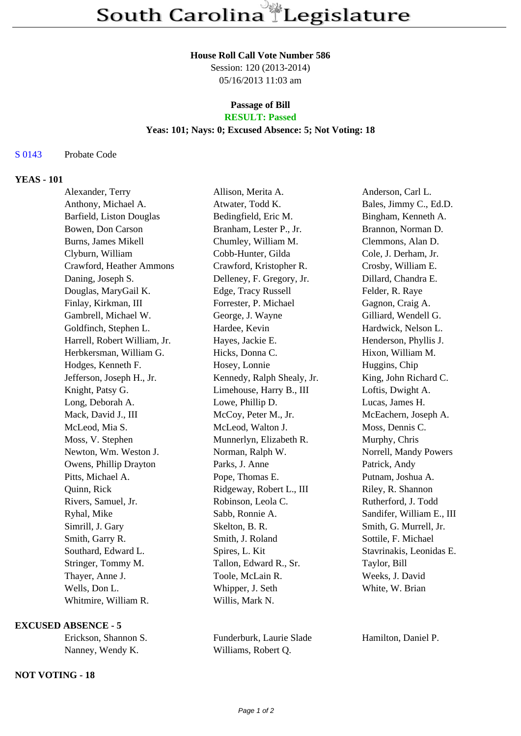#### **House Roll Call Vote Number 586**

Session: 120 (2013-2014) 05/16/2013 11:03 am

## **Passage of Bill RESULT: Passed**

### **Yeas: 101; Nays: 0; Excused Absence: 5; Not Voting: 18**

## S 0143 Probate Code

# **YEAS - 101**

| Alexander, Terry             | Allison, Merita A.         | Anderson, Carl L.         |
|------------------------------|----------------------------|---------------------------|
| Anthony, Michael A.          | Atwater, Todd K.           | Bales, Jimmy C., Ed.D.    |
| Barfield, Liston Douglas     | Bedingfield, Eric M.       | Bingham, Kenneth A.       |
| Bowen, Don Carson            | Branham, Lester P., Jr.    | Brannon, Norman D.        |
| <b>Burns, James Mikell</b>   | Chumley, William M.        | Clemmons, Alan D.         |
| Clyburn, William             | Cobb-Hunter, Gilda         | Cole, J. Derham, Jr.      |
| Crawford, Heather Ammons     | Crawford, Kristopher R.    | Crosby, William E.        |
| Daning, Joseph S.            | Delleney, F. Gregory, Jr.  | Dillard, Chandra E.       |
| Douglas, MaryGail K.         | Edge, Tracy Russell        | Felder, R. Raye           |
| Finlay, Kirkman, III         | Forrester, P. Michael      | Gagnon, Craig A.          |
| Gambrell, Michael W.         | George, J. Wayne           | Gilliard, Wendell G.      |
| Goldfinch, Stephen L.        | Hardee, Kevin              | Hardwick, Nelson L.       |
| Harrell, Robert William, Jr. | Hayes, Jackie E.           | Henderson, Phyllis J.     |
| Herbkersman, William G.      | Hicks, Donna C.            | Hixon, William M.         |
| Hodges, Kenneth F.           | Hosey, Lonnie              | Huggins, Chip             |
| Jefferson, Joseph H., Jr.    | Kennedy, Ralph Shealy, Jr. | King, John Richard C.     |
| Knight, Patsy G.             | Limehouse, Harry B., III   | Loftis, Dwight A.         |
| Long, Deborah A.             | Lowe, Phillip D.           | Lucas, James H.           |
| Mack, David J., III          | McCoy, Peter M., Jr.       | McEachern, Joseph A.      |
| McLeod, Mia S.               | McLeod, Walton J.          | Moss, Dennis C.           |
| Moss, V. Stephen             | Munnerlyn, Elizabeth R.    | Murphy, Chris             |
| Newton, Wm. Weston J.        | Norman, Ralph W.           | Norrell, Mandy Powers     |
| Owens, Phillip Drayton       | Parks, J. Anne             | Patrick, Andy             |
| Pitts, Michael A.            | Pope, Thomas E.            | Putnam, Joshua A.         |
| Quinn, Rick                  | Ridgeway, Robert L., III   | Riley, R. Shannon         |
| Rivers, Samuel, Jr.          | Robinson, Leola C.         | Rutherford, J. Todd       |
| Ryhal, Mike                  | Sabb, Ronnie A.            | Sandifer, William E., III |
| Simrill, J. Gary             | Skelton, B. R.             | Smith, G. Murrell, Jr.    |
| Smith, Garry R.              | Smith, J. Roland           | Sottile, F. Michael       |
| Southard, Edward L.          | Spires, L. Kit             | Stavrinakis, Leonidas E.  |
| Stringer, Tommy M.           | Tallon, Edward R., Sr.     | Taylor, Bill              |
| Thayer, Anne J.              | Toole, McLain R.           | Weeks, J. David           |
| Wells, Don L.                | Whipper, J. Seth           | White, W. Brian           |
| Whitmire, William R.         | Willis, Mark N.            |                           |

#### **EXCUSED ABSENCE - 5**

| Erickson, Shannon S. | Funderburk, Laurie Slade |
|----------------------|--------------------------|
| Nanney, Wendy K.     | Williams, Robert Q.      |

Hamilton, Daniel P.

# **NOT VOTING - 18**